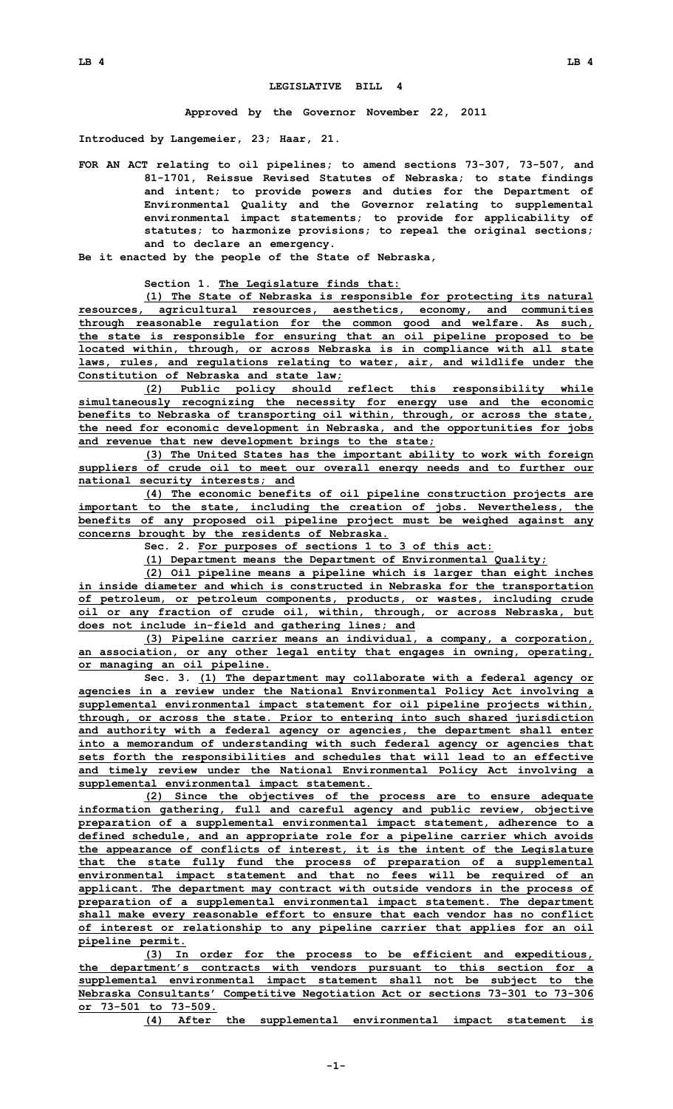## **LEGISLATIVE BILL 4**

**Approved by the Governor November 22, 2011**

**Introduced by Langemeier, 23; Haar, 21.**

**FOR AN ACT relating to oil pipelines; to amend sections 73-307, 73-507, and 81-1701, Reissue Revised Statutes of Nebraska; to state findings and intent; to provide powers and duties for the Department of Environmental Quality and the Governor relating to supplemental environmental impact statements; to provide for applicability of statutes; to harmonize provisions; to repeal the original sections; and to declare an emergency.**

**Be it enacted by the people of the State of Nebraska,**

**Section 1. The Legislature finds that:**

**(1) The State of Nebraska is responsible for protecting its natural resources, agricultural resources, aesthetics, economy, and communities through reasonable regulation for the common good and welfare. As such, the state is responsible for ensuring that an oil pipeline proposed to be located within, through, or across Nebraska is in compliance with all state laws, rules, and regulations relating to water, air, and wildlife under the Constitution of Nebraska and state law;**

**(2) Public policy should reflect this responsibility while simultaneously recognizing the necessity for energy use and the economic benefits to Nebraska of transporting oil within, through, or across the state, the need for economic development in Nebraska, and the opportunities for jobs and revenue that new development brings to the state;**

**(3) The United States has the important ability to work with foreign suppliers of crude oil to meet our overall energy needs and to further our national security interests; and**

**(4) The economic benefits of oil pipeline construction projects are important to the state, including the creation of jobs. Nevertheless, the benefits of any proposed oil pipeline project must be weighed against any concerns brought by the residents of Nebraska.**

**Sec. 2. For purposes of sections 1 to 3 of this act:**

**(1) Department means the Department of Environmental Quality;**

**(2) Oil pipeline means <sup>a</sup> pipeline which is larger than eight inches in inside diameter and which is constructed in Nebraska for the transportation of petroleum, or petroleum components, products, or wastes, including crude oil or any fraction of crude oil, within, through, or across Nebraska, but does not include in-field and gathering lines; and**

**(3) Pipeline carrier means an individual, <sup>a</sup> company, <sup>a</sup> corporation, an association, or any other legal entity that engages in owning, operating, or managing an oil pipeline.**

**Sec. 3. (1) The department may collaborate with <sup>a</sup> federal agency or agencies in <sup>a</sup> review under the National Environmental Policy Act involving <sup>a</sup> supplemental environmental impact statement for oil pipeline projects within, through, or across the state. Prior to entering into such shared jurisdiction and authority with <sup>a</sup> federal agency or agencies, the department shall enter into <sup>a</sup> memorandum of understanding with such federal agency or agencies that sets forth the responsibilities and schedules that will lead to an effective and timely review under the National Environmental Policy Act involving <sup>a</sup> supplemental environmental impact statement.**

**(2) Since the objectives of the process are to ensure adequate information gathering, full and careful agency and public review, objective preparation of <sup>a</sup> supplemental environmental impact statement, adherence to <sup>a</sup> defined schedule, and an appropriate role for <sup>a</sup> pipeline carrier which avoids the appearance of conflicts of interest, it is the intent of the Legislature that the state fully fund the process of preparation of <sup>a</sup> supplemental environmental impact statement and that no fees will be required of an applicant. The department may contract with outside vendors in the process of preparation of <sup>a</sup> supplemental environmental impact statement. The department shall make every reasonable effort to ensure that each vendor has no conflict of interest or relationship to any pipeline carrier that applies for an oil pipeline permit.**

**(3) In order for the process to be efficient and expeditious, the department's contracts with vendors pursuant to this section for <sup>a</sup> supplemental environmental impact statement shall not be subject to the Nebraska Consultants' Competitive Negotiation Act or sections 73-301 to 73-306 or 73-501 to 73-509.**

**(4) After the supplemental environmental impact statement is**